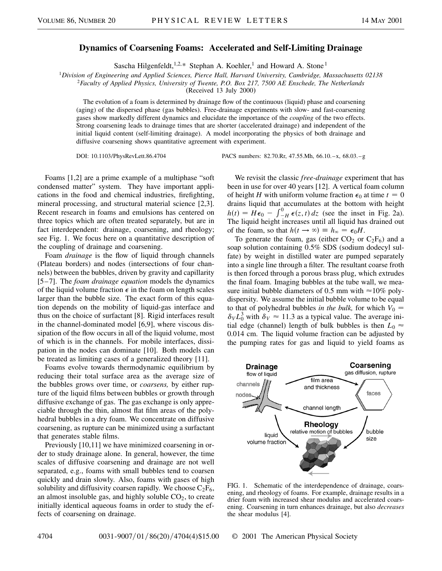## **Dynamics of Coarsening Foams: Accelerated and Self-Limiting Drainage**

Sascha Hilgenfeldt,<sup>1,2,\*</sup> Stephan A. Koehler,<sup>1</sup> and Howard A. Stone<sup>1</sup>

<sup>1</sup>*Division of Engineering and Applied Sciences, Pierce Hall, Harvard University, Cambridge, Massachusetts 02138*

<sup>2</sup>*Faculty of Applied Physics, University of Twente, P.O. Box 217, 7500 AE Enschede, The Netherlands*

(Received 13 July 2000)

The evolution of a foam is determined by drainage flow of the continuous (liquid) phase and coarsening (aging) of the dispersed phase (gas bubbles). Free-drainage experiments with slow- and fast-coarsening gases show markedly different dynamics and elucidate the importance of the *coupling* of the two effects. Strong coarsening leads to drainage times that are shorter (accelerated drainage) and independent of the initial liquid content (self-limiting drainage). A model incorporating the physics of both drainage and diffusive coarsening shows quantitative agreement with experiment.

DOI: 10.1103/PhysRevLett.86.4704 PACS numbers: 82.70.Rr, 47.55.Mh, 66.10.–x, 68.03.–g

Foams [1,2] are a prime example of a multiphase "soft condensed matter" system. They have important applications in the food and chemical industries, firefighting, mineral processing, and structural material science [2,3]. Recent research in foams and emulsions has centered on three topics which are often treated separately, but are in fact interdependent: drainage, coarsening, and rheology; see Fig. 1. We focus here on a quantitative description of the coupling of drainage and coarsening.

Foam *drainage* is the flow of liquid through channels (Plateau borders) and nodes (intersections of four channels) between the bubbles, driven by gravity and capillarity [5–7]. The *foam drainage equation* models the dynamics of the liquid volume fraction  $\epsilon$  in the foam on length scales larger than the bubble size. The exact form of this equation depends on the mobility of liquid-gas interface and thus on the choice of surfactant [8]. Rigid interfaces result in the channel-dominated model [6,9], where viscous dissipation of the flow occurs in all of the liquid volume, most of which is in the channels. For mobile interfaces, dissipation in the nodes can dominate [10]. Both models can be treated as limiting cases of a generalized theory [11].

Foams evolve towards thermodynamic equilibrium by reducing their total surface area as the average size of the bubbles grows over time, or *coarsens,* by either rupture of the liquid films between bubbles or growth through diffusive exchange of gas. The gas exchange is only appreciable through the thin, almost flat film areas of the polyhedral bubbles in a dry foam. We concentrate on diffusive coarsening, as rupture can be minimized using a surfactant that generates stable films.

Previously [10,11] we have minimized coarsening in order to study drainage alone. In general, however, the time scales of diffusive coarsening and drainage are not well separated, e.g., foams with small bubbles tend to coarsen quickly and drain slowly. Also, foams with gases of high solubility and diffusivity coarsen rapidly. We choose  $C_2F_6$ , an almost insoluble gas, and highly soluble  $CO<sub>2</sub>$ , to create initially identical aqueous foams in order to study the effects of coarsening on drainage.

We revisit the classic *free-drainage* experiment that has been in use for over 40 years [12]. A vertical foam column of height *H* with uniform volume fraction  $\epsilon_0$  at time  $t = 0$ drains liquid that accumulates at the bottom with height  $h(t) = H\epsilon_0 - \int_{-H}^{0} \epsilon(z, t) dz$  (see the inset in Fig. 2a). The liquid height increases until all liquid has drained out of the foam, so that  $h(t \to \infty) \equiv h_{\infty} = \epsilon_0 H$ .

To generate the foam, gas (either  $CO_2$  or  $C_2F_6$ ) and a soap solution containing 0.5% SDS (sodium dodecyl sulfate) by weight in distilled water are pumped separately into a single line through a filter. The resultant coarse froth is then forced through a porous brass plug, which extrudes the final foam. Imaging bubbles at the tube wall, we measure initial bubble diameters of 0.5 mm with  $\approx$ 10% polydispersity. We assume the initial bubble volume to be equal to that of polyhedral bubbles *in the bulk*, for which  $V_0 =$  $\delta_V L_0^3$  with  $\delta_V \approx 11.3$  as a typical value. The average initial edge (channel) length of bulk bubbles is then  $L_0 \approx$ 0.014 cm. The liquid volume fraction can be adjusted by the pumping rates for gas and liquid to yield foams as



FIG. 1. Schematic of the interdependence of drainage, coarsening, and rheology of foams. For example, drainage results in a drier foam with increased shear modulus and accelerated coarsening. Coarsening in turn enhances drainage, but also *decreases* the shear modulus [4].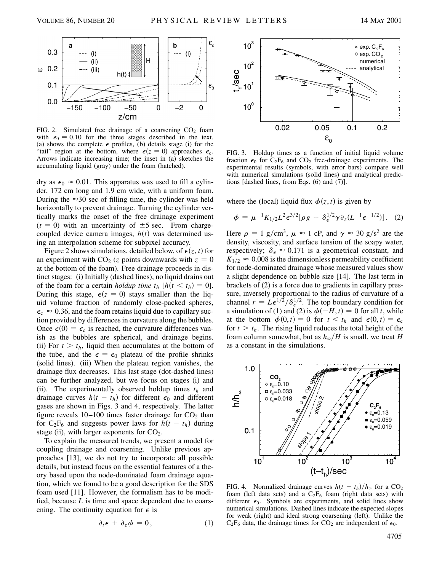

FIG. 2. Simulated free drainage of a coarsening  $CO<sub>2</sub>$  foam with  $\epsilon_0 = 0.10$  for the three stages described in the text. (a) shows the complete  $\epsilon$  profiles, (b) details stage (i) for the "tail" region at the bottom, where  $\epsilon(z = 0)$  approaches  $\epsilon_c$ . Arrows indicate increasing time; the inset in (a) sketches the accumulating liquid (gray) under the foam (hatched).

dry as  $\epsilon_0 \approx 0.01$ . This apparatus was used to fill a cylinder, 172 cm long and 1.9 cm wide, with a uniform foam. During the  $\approx$ 30 sec of filling time, the cylinder was held horizontally to prevent drainage. Turning the cylinder vertically marks the onset of the free drainage experiment  $(t = 0)$  with an uncertainty of  $\pm 5$  sec. From chargecoupled device camera images,  $h(t)$  was determined using an interpolation scheme for subpixel accuracy.

Figure 2 shows simulations, detailed below, of  $\epsilon(z, t)$  for an experiment with  $CO<sub>2</sub>$  (*z* points downwards with  $z = 0$ at the bottom of the foam). Free drainage proceeds in distinct stages: (i) Initially (dashed lines), no liquid drains out of the foam for a certain *holdup time*  $t_h$  [ $h(t < t_h) = 0$ ]. During this stage,  $\epsilon(z = 0)$  stays smaller than the liquid volume fraction of randomly close-packed spheres,  $\epsilon_c \approx 0.36$ , and the foam retains liquid due to capillary suction provided by differences in curvature along the bubbles. Once  $\epsilon(0) = \epsilon_c$  is reached, the curvature differences vanish as the bubbles are spherical, and drainage begins. (ii) For  $t > t<sub>h</sub>$ , liquid then accumulates at the bottom of the tube, and the  $\epsilon = \epsilon_0$  plateau of the profile shrinks (solid lines). (iii) When the plateau region vanishes, the drainage flux decreases. This last stage (dot-dashed lines) can be further analyzed, but we focus on stages (i) and (ii). The experimentally observed holdup times  $t<sub>h</sub>$  and drainage curves  $h(t - t_h)$  for different  $\epsilon_0$  and different gases are shown in Figs. 3 and 4, respectively. The latter figure reveals  $10-100$  times faster drainage for  $CO<sub>2</sub>$  than for  $C_2F_6$  and suggests power laws for  $h(t - t_h)$  during stage (ii), with larger exponents for  $CO<sub>2</sub>$ .

To explain the measured trends, we present a model for coupling drainage and coarsening. Unlike previous approaches [13], we do not try to incorporate all possible details, but instead focus on the essential features of a theory based upon the node-dominated foam drainage equation, which we found to be a good description for the SDS foam used [11]. However, the formalism has to be modified, because *L* is time and space dependent due to coarsening. The continuity equation for  $\epsilon$  is

$$
\partial_t \epsilon + \partial_z \phi = 0, \qquad (1)
$$



FIG. 3. Holdup times as a function of initial liquid volume fraction  $\epsilon_0$  for  $C_2F_6$  and  $CO_2$  free-drainage experiments. The experimental results (symbols, with error bars) compare well with numerical simulations (solid lines) and analytical predictions [dashed lines, from Eqs. (6) and (7)].

where the (local) liquid flux  $\phi(z, t)$  is given by

$$
\phi = \mu^{-1} K_{1/2} L^2 \epsilon^{3/2} [\rho g + \delta_{\epsilon}^{1/2} \gamma \partial_z (L^{-1} \epsilon^{-1/2})]. \quad (2)
$$

Here  $\rho = 1$  g/cm<sup>3</sup>,  $\mu \approx 1$  cP, and  $\gamma \approx 30$  g/s<sup>2</sup> are the density, viscosity, and surface tension of the soapy water, respectively;  $\delta_{\epsilon} \approx 0.171$  is a geometrical constant, and  $K_{1/2} \approx 0.008$  is the dimensionless permeability coefficient for node-dominated drainage whose measured values show a slight dependence on bubble size [14]. The last term in brackets of (2) is a force due to gradients in capillary pressure, inversely proportional to the radius of curvature of a channel  $r = L\epsilon^{1/2}/\delta_{\epsilon}^{1/2}$ . The top boundary condition for a simulation of (1) and (2) is  $\phi(-H, t) = 0$  for all *t*, while at the bottom  $\phi(0, t) = 0$  for  $t < t_h$  and  $\epsilon(0, t) = \epsilon_c$ for  $t > t_h$ . The rising liquid reduces the total height of the foam column somewhat, but as  $h_{\infty}/H$  is small, we treat *H* as a constant in the simulations.



FIG. 4. Normalized drainage curves  $h(t - t_h)/h_\infty$  for a CO<sub>2</sub> foam (left data sets) and a  $C_2F_6$  foam (right data sets) with different  $\epsilon_0$ . Symbols are experiments, and solid lines show numerical simulations. Dashed lines indicate the expected slopes for weak (right) and ideal strong coarsening (left). Unlike the  $C_2F_6$  data, the drainage times for  $CO_2$  are independent of  $\epsilon_0$ .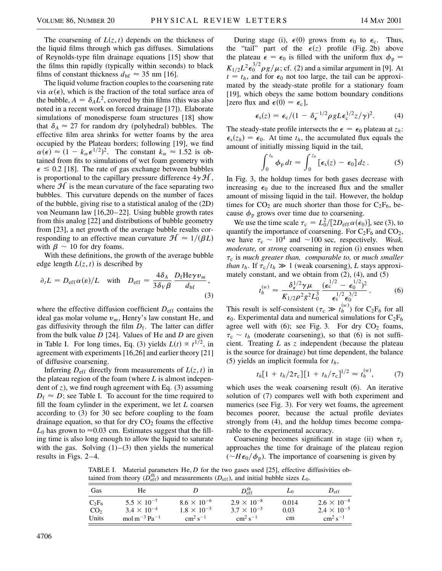The coarsening of  $L(z, t)$  depends on the thickness of the liquid films through which gas diffuses. Simulations of Reynolds-type film drainage equations [15] show that the films thin rapidly (typically within seconds) to black films of constant thickness  $d_{\text{bf}} \approx 35 \text{ nm}$  [16].

The liquid volume fraction couples to the coarsening rate via  $\alpha(\epsilon)$ , which is the fraction of the total surface area of the bubble,  $A = \delta_A L^2$ , covered by thin films (this was also noted in a recent work on forced drainage [17]). Elaborate simulations of monodisperse foam structures [18] show that  $\delta_A \approx 27$  for random dry (polyhedral) bubbles. The effective film area shrinks for wetter foams by the area occupied by the Plateau borders; following [19], we find  $\alpha(\epsilon) \approx (1 - k_{\alpha} \epsilon^{1/2})^2$ . The constant  $k_{\alpha} \approx 1.52$  is obtained from fits to simulations of wet foam geometry with  $\epsilon \leq 0.2$  [18]. The rate of gas exchange between bubbles is proportional to the capillary pressure difference  $4\gamma \mathcal{H}$ , where  $\mathcal{H}$  is the mean curvature of the face separating two bubbles. This curvature depends on the number of faces of the bubble, giving rise to a statistical analog of the (2D) von Neumann law [16,20–22]. Using bubble growth rates from this analog [22] and distributions of bubble geometry from [23], a net growth of the average bubble results corresponding to an effective mean curvature  $\mathcal{H} \approx 1/(\beta L)$ with  $\beta \sim 10$  for dry foams.

With these definitions, the growth of the average bubble edge length  $L(z, t)$  is described by

$$
\partial_t L = D_{\rm eff} \alpha(\varepsilon) / L \quad \text{with} \quad D_{\rm eff} = \frac{4 \delta_A}{3 \delta_V \beta} \frac{D_{\rm f} H e \gamma v_m}{d_{\rm bf}},
$$
\n(3)

where the effective diffusion coefficient  $D_{\text{eff}}$  contains the ideal gas molar volume  $v_m$ , Henry's law constant He, and gas diffusivity through the film  $D_f$ . The latter can differ from the bulk value *D* [24]. Values of He and *D* are given in Table I. For long times, Eq. (3) yields  $L(t) \propto t^{1/2}$ , in agreement with experiments [16,26] and earlier theory [21] of diffusive coarsening.

Inferring  $D_{\text{eff}}$  directly from measurements of  $L(z, t)$  in the plateau region of the foam (where *L* is almost independent of *z*), we find rough agreement with Eq. (3) assuming  $D_f \approx D$ ; see Table I. To account for the time required to fill the foam cylinder in the experiment, we let *L* coarsen according to (3) for 30 sec before coupling to the foam drainage equation, so that for dry  $CO<sub>2</sub>$  foams the effective  $L_0$  has grown to  $\approx 0.03$  cm. Estimates suggest that the filling time is also long enough to allow the liquid to saturate with the gas. Solving  $(1)$ – $(3)$  then yields the numerical results in Figs. 2–4.

During stage (i),  $\epsilon(0)$  grows from  $\epsilon_0$  to  $\epsilon_c$ . Thus, the "tail" part of the  $\epsilon(z)$  profile (Fig. 2b) above the plateau  $\epsilon = \epsilon_0$  is filled with the uniform flux  $\phi_p =$  $K_{1/2}L^2\epsilon_0^{3/2}\rho g/\mu$ ; cf. (2) and a similar argument in [9]. At  $t = t_h$ , and for  $\epsilon_0$  not too large, the tail can be approximated by the steady-state profile for a stationary foam [19], which obeys the same bottom boundary conditions [zero flux and  $\epsilon(0) = \epsilon_c$ ],

$$
\epsilon_{\rm s}(z) = \epsilon_{\rm c}/(1 - \delta_{\epsilon}^{-1/2} \rho g L \epsilon_{\rm c}^{1/2} z/\gamma)^2. \tag{4}
$$

The steady-state profile intersects the  $\epsilon = \epsilon_0$  plateau at  $z_h$ :  $\epsilon_{s}(z_{h}) = \epsilon_{0}$ . At time  $t_{h}$ , the accumulated flux equals the amount of initially missing liquid in the tail,

$$
\int_0^{t_h} \phi_p dt = \int_0^{z_h} [\epsilon_s(z) - \epsilon_0] dz.
$$
 (5)

In Fig. 3, the holdup times for both gases decrease with increasing  $\epsilon_0$  due to the increased flux and the smaller amount of missing liquid in the tail. However, the holdup times for  $CO_2$  are much shorter than those for  $C_2F_6$ , because  $\phi_p$  grows over time due to coarsening.

We use the time scale  $\tau_c = L_0^2/[2D_{\text{eff}}\alpha(\epsilon_0)]$ , see (3), to quantify the importance of coarsening. For  $C_2F_6$  and  $CO_2$ , we have  $\tau_c \sim 10^4$  and  $\sim 100$  sec, respectively. *Weak*, *moderate,* or *strong* coarsening in region (i) ensues when  $\tau_c$  is *much greater than, comparable to,* or *much smaller than*  $t_h$ . If  $\tau_c/t_h \gg 1$  (weak coarsening), *L* stays approximately constant, and we obtain from  $(2)$ ,  $(4)$ , and  $(5)$ 

$$
t_h^{(w)} \approx \frac{\delta_{\epsilon}^{1/2} \gamma \mu}{K_{1/2} \rho^2 g^2 L_0^3} \frac{(\epsilon_{\rm c}^{1/2} - \epsilon_0^{1/2})^2}{\epsilon_{\rm c}^{1/2} \epsilon_0^{3/2}}.
$$
 (6)

This result is self-consistent  $(\tau_c \gg t_h^{(w)})$  for  $C_2F_6$  for all  $\epsilon_0$ . Experimental data and numerical simulations for  $C_2F_6$ agree well with  $(6)$ ; see Fig. 3. For dry  $CO<sub>2</sub>$  foams,  $\tau_c \sim t_h$  (moderate coarsening), so that (6) is not sufficient. Treating *L* as *z* independent (because the plateau is the source for drainage) but time dependent, the balance (5) yields an implicit formula for  $t<sub>h</sub>$ ,

$$
t_h[1 + t_h/2\tau_{\rm c}][1 + t_h/\tau_{\rm c}]^{1/2} \approx t_h^{(w)},\tag{7}
$$

which uses the weak coarsening result (6). An iterative solution of (7) compares well with both experiment and numerics (see Fig. 3). For very wet foams, the agreement becomes poorer, because the actual profile deviates strongly from (4), and the holdup times become comparable to the experimental accuracy.

Coarsening becomes significant in stage (ii) when  $\tau_c$ approaches the time for drainage of the plateau region  $(\sim H \epsilon_0/\phi_p)$ . The importance of coarsening is given by

TABLE I. Material parameters He, *D* for the two gases used [25], effective diffusivities obtained from theory ( $\hat{D}_{eff}^{th}$ ) and measurements ( $D_{eff}$ ), and initial bubble sizes  $L_0$ .

| Gas             | He                                                             |                      | $D_{\rm eff}^{\rm th}$ | $L_0$ | $D_{\rm eff}$        |
|-----------------|----------------------------------------------------------------|----------------------|------------------------|-------|----------------------|
| $C_2F_6$        | $5.5 \times 10^{-7}$                                           | $8.6 \times 10^{-6}$ | $2.9 \times 10^{-8}$   | 0.014 | $2.6 \times 10^{-8}$ |
| CO <sub>2</sub> | $3.4 \times 10^{-4}$                                           | $1.8 \times 10^{-5}$ | $3.7 \times 10^{-5}$   | 0.03  | $2.4 \times 10^{-5}$ |
| Units           | mol m <sup><math>-3</math></sup> Pa <sup><math>-1</math></sup> | $\rm cm^2\,s^{-1}$   | $\rm cm^2\,s^{-1}$     | cm    | $\rm cm^2\,s^{-1}$   |